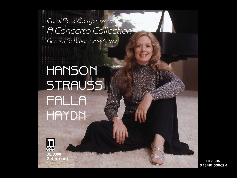*Carol Rosenberger, piano A Concerto Collection Gerard Schwarz, conductor*

# **HANSON STRAUSS FALLA HAYDN**



**2-disc set**

DE 3306 0 13491 33062 4 1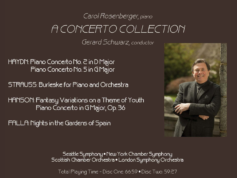## Carol Rosenberger, piano A CONCERTO COLLECTION

Gerard Schwarz, conductor

HAYDN: Piano Concerto No. 2 in D Major Piano Concerto No. 5 in GMajor

STRAUSS: Burleske for Piano and Orchestra

HANSON: Fantasy Variations on a Theme of Youth Piano Concerto in GMajor, Op. 36

FALLA: Nights in the Gardens of Spain



Seattle Symphony • New York Chamber Symphony<br>Scottish Chamber Orchestra • London Symphony Orchestra

Total Playing Time - Disc One: 66:59 . Disc Two: 59:27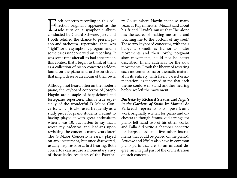E<br>condu ach concerto recording in this collection originally appeared as the solo turn on a symphonic album conducted by Gerard Schwarz. Jerry and I both relished the chance to present piano-and-orchestra repertoire that was "right" for the symphonic program and in some cases under-served on recording. It was some time after all six had appeared in this context that I began to think of them as a collection of piano concertos seldom found on the piano-and-orchestra circuit that might deserve an album of their own.

Although not heard often on the modern piano, the keyboard concertos of **Joseph Haydn** are a staple of harpsichord and fortepiano repertoire. This is true especially of the wonderful D Major Concerto, which is also used frequently as a study piece for piano students. I admit to having played it with great enthusiasm when I was 10, but hasten to say that I wrote my cadenzas and lead-ins upon revisiting the concerto many years later! The G Major Concerto is rarely played on any instrument, but once discovered, usually inspires love at first hearing. Both concertos can arouse a momentary envy of those lucky residents of the Esterhazy Court, where Haydn spent so many years as Kapellmeister. Mozart said about his friend Haydn's music that "he alone has the secret of making me smile and touching me to the bottom of my soul." These two keyboard concertos, with their buoyant, sometimes humorous outer movements and their lovely, poignant slow movements, could not be better described. In my cadenzas for the slow movements, I took the liberty of restating each movement's major thematic material in its entirety, with freely varied ornamentation, as it seemed to me that each theme could well stand another hearing before we left the movement.

**Burleske** by **Richard Strauss** and **Nights in the Gardens of Spain** by **Manuel de Falla** each represents its composer's only work originally written for piano and orchestra (although Strauss did arrange for piano, left hand two of his other works, and Falla did write a chamber concerto for harpsichord and five other instruments that could be played on the piano). Burleske and Nights also have in common piano parts that are, to an unusual degree, an integral part of the orchestration of each concerto.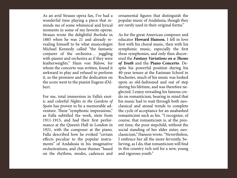As an avid Strauss opera fan, I've had a wonderful time playing a piece that reminds me of some whimsical and lyrical moments in some of my favorite operas. Strauss wrote the delightful Burleske in 1885 when he was 21 and already revealing himself to be what musicologist Michael Kennedy called "the fantastic conjurer of the orchestra… juggling with pianist and orchestra as if they were featherweights." Hans von Bülow, for whom the concerto was written, found it awkward to play and refused to perform it, so the premiere and the dedication on the score went to the pianist Eugene d'Albert.

For me, total immersion in Falla's exotic and colorful Nights in the Gardens of Spain has proven to be a memorable adventure. These "symphonic impressions," as Falla subtitled the work, stem from 1911-1915, and had their first performance at the Queen's Hall in London in 1921, with the composer at the piano. Falla described how he evoked "certain effects peculiar to the popular instruments" of Andalusia in his imaginative orchestrations, and chose themes "based on the rhythms, modes, cadences and

ornamental figures that distinguish the popular music of Andalusia, though they are rarely used in their original forms."

As for the great American composer and educator **Howard Hanson**, I fell in love first with his choral music, then with his symphonic music, especially the first three symphonies, and only then discovered the **Fantasy Variations on a Theme of Youth** and the **Piano Concerto**. Despite his powerful position during his 40-year tenure at the Eastman School in Rochester, much of his music was looked upon as old-fashioned and out of step during his lifetime, and was therefore neglected. I enjoy rereading his famous credo on romanticism, bearing in mind that his music had to wait through both neoclassical and atonal trends to complete the cycle of acceptance for an unabashed romanticism such as his. "I recognize, of course, that romanticism is, at the present time, the poor stepchild, without the social standing of her elder sister, neoclassicism," Hanson wrote. "Nevertheless, I embrace her all the more fervently, believing, as I do, that romanticism will find in this country rich soil for a new, young and vigorous youth."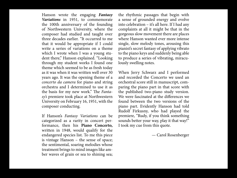Hanson wrote the engaging **Fantasy Variations** in 1951, to commemorate the 100th anniversary of the founding of Northwestern University, where the composer had studied and taught over three decades earlier. "It occurred to me that it would be appropriate if I could write a series of variations on a theme which I wrote when I was a young student there," Hanson explained. "Looking through my student works I found one theme which seemed to be as fresh today as it was when it was written well over 30 years ago. It was the opening theme of a concerto da camera for piano and string orchestra and I determined to use it as the basis for my new work." The Fantasy's premiere took place at Northwestern University on February 16, 1951, with the composer conducting.

If Hanson's Fantasy Variations can be categorized as a rarity in concert performance, then his **Piano Concerto,** written in 1948, would qualify for the endangered species list. To me this piece is vintage Hanson – the sense of space; the sentimental, soaring melodies whose treatment brings to mind images like amber waves of grain or sea to shining sea;

the rhythmic passages that begin with a sense of grounded energy and evolve into celebration – it's all here. If I had any complaints at all it might be that in the gorgeous slow movement there are places where Hanson wanted ever more intense single, slow melody tones, arousing this pianist's secret fantasy of applying vibrato to the piano keys and suddenly being able to produce a series of vibrating, miraculously swelling notes.

When Jerry Schwarz and I performed and recorded the Concerto we used an orchestral score still in manuscript, comparing the piano part in that score with the published two-piano study version. We were fascinated at the differences we found between the two versions of the piano part. Evidently Hanson had told Rudolf Firkusny, who had played the premiere, "Rudy, if you think something sounds better your way, play it that way!" I took my cue from this quote.

— Carol Rosenberger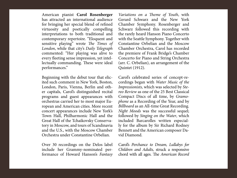American pianist **Carol Rosenberger** has attracted an international audience for bringing her special blend of refined virtuosity and poetically compelling interpretations to both traditional and contemporary repertoire. "Eloquent and sensitive playing" wrote The Times of London, while that city's Daily Telegraph commented: "Her playing was alive to every fleeting sense impression, yet intellectually commanding. These were ideal performances."

Beginning with the debut tour that elicited such comment in New York, Boston, London, Paris, Vienna, Berlin and other capitals, Carol's distinguished recital programs and guest appearances with orchestras carried her to most major European and American cities. More recent concert appearances include New York's Town Hall, Philharmonic Hall and the Great Hall of the Tchaikovsky Conservatory in Moscow, and tours of Scandinavia and the U.S., with the Moscow Chamber Orchestra under Constantine Orbelian.

Over 30 recordings on the Delos label include her Grammy-nominated performance of Howard Hanson's Fantasy

Variations on a Theme of Youth, with Gerard Schwarz and the New York Chamber Symphony. Rosenberger and Schwarz followed this recording with the rarely heard Hanson Piano Concerto with the Seattle Symphony. Together with Constantine Orbelian and the Moscow Chamber Orchestra, Carol has recorded the premiere of Frank Bridge's Chamber Concerto for Piano and String Orchestra (arr. C. Orbelian), an arrangement of the Quintet (1912).

Carol's celebrated series of concept-recordings began with Water Music of the Impressionists, which was selected by Stereo Review as one of the 25 Best Classical Compact Discs of all time, by Gramophone as a Recording of the Year, and by Billboard as an All-time Great Recording. Night Moods was the successful sequel; followed by Singing on the Water, which included Barcarolles written especially for the album by Sir Richard Rodney Bennett and the American composer David Diamond.

Carol's Perchance to Dream, Lullabys for Children and Adults, struck a responsive chord with all ages. The American Record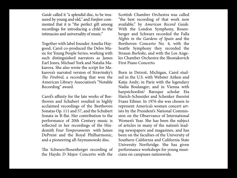Guide called it "a splendid disc, to be treasured by young and old," and Fanfare commented that it is "the perfect gift among recordings for introducing a child to the intimacies and universality of music."

Together with label founder Amelia Haygood, Carol co-produced the Delos Music for Young People Series, working with such distinguished narrators as James Earl Jones, Michael York and Natalia Makarova. She also wrote the script for Makarova's narrated version of Stravinsky's The Firebird, a recording that won the American Library Association's "Notable Recording" award.

Carol's affinity for the late works of Beethoven and Schubert resulted in highly acclaimed recordings of the Beethoven Sonatas Op. 111 and 57, and the Schubert Sonata in B-flat. Her contribution to the performance of 20th Century music is reflected in her recordings of the Hindemith Four Temperaments with James DePreist and the Royal Philharmonic, and a pioneering all-Szymanowski disc.

The Schwarz/Rosenberger recording of the Haydn D Major Concerto with the

Scottish Chamber Orchestra was called "the best recording of that work now available," by American Record Guide. With the London Symphony, Rosenberger and Schwarz recorded the Falla Nights in the Gardens of Spain and the Beethoven Concerto No. 4; with the Seattle Symphony they recorded the Strauss Burleske, and with the Los Angeles Chamber Orchestra the Shostakovich First Piano Concerto.

Born in Detroit, Michigan, Carol studied in the U.S. with Webster Aitken and Katja Andy; in Paris with the legendary Nadia Boulanger; and in Vienna with harpsichordist/ Baroque scholar Eta Harich-Schneider and Schenker theorist Franz Eibner. In 1976 she was chosen to represent America's women concert artists by the President's National Commission on the Observance of International Women's Year. She has been the subject of articles in many of the nation's leading newspapers and magazines, and has been on the faculties of the University of Southern California and California State University Northridge. She has given performance workshops for young musicians on campuses nationwide.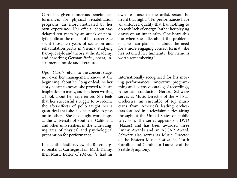Carol has given numerous benefit performances for physical rehabilitation programs, an effort motivated by her own experience. Her official debut was delayed ten years by an attack of paralytic polio at the outset of her career. She spent those ten years of seclusion and rehabilitation partly in Vienna, studying Baroque style and theory at the Academy, and absorbing German lieder, opera, instrumental music and literature.

Upon Carol's return to the concert stage, not even her management knew, at the beginning, about her long ordeal. As her story became known, she proved to be an inspiration to many, and has been writing a book about her experiences. She feels that her successful struggle to overcome the after-effects of polio taught her a great deal that she has been able to pass on to others. She has taught workshops, at the University of Southern California and other universities, in the wide-ranging area of physical and psychological preparation for performance.

In an enthusiastic review of a Rosenberger recital at Carnegie Hall, Mark Kanny, then Music Editor of FM Guide, had his

own response to the artist/person he heard that night: "Her performances have an unforced quality that has nothing to do with lack of energy. Rather her playing draws on an inner calm. One hears this too when she talks about the problems of a woman pianist, or about the need for a more engaging concert format...she has retained her humanity; her name is worth remembering."

Internationally recognized for his moving performances, innovative programming and extensive catalog of recordings, American conductor **Gerard Schwarz**  serves as Music Director of the All-Star Orchestra, an ensemble of top musicians from America's leading orchestras featured in a television series airing throughout the United States on public television. The series appears on DVD (Naxos) and has been awarded three Emmy Awards and an ASCAP Award. Schwarz also serves as Music Director of the Eastern Music Festival in North Carolina and Conductor Laureate of the Seattle Symphony.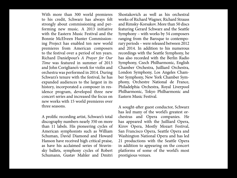With more than 300 world premieres to his credit, Schwarz has always felt strongly about commissioning and performing new music. A 2013 initiative with the Eastern Music Festival and the Bonnie McElveen Hunter Commissioning Project has enabled ten new world premieres from American composers to the festival over a period of ten years. Richard Danielpour's A Prayer for Our Time was featured in summer of 2013 and John Corigliano's work for violin and orchestra was performed in 2014. During Schwarz's tenure with the festival, he has expanded audiences to the largest in its history, incorporated a composer in residence program, developed three new concert series and increased the focus on new works with 15 world premieres over three seasons.

A prolific recording artist, Schwarz's total discography numbers nearly 350 on more than 11 labels. His pioneering cycles of American symphonists such as William Schuman, David Diamond and Howard Hanson have received high critical praise, as have his acclaimed series of Stravinsky ballets, symphony cycles of Robert Schumann, Gustav Mahler and Dmitri

Shostakovich as well as his orchestral works of Richard Wagner, Richard Strauss and Rimsky-Korsakov. More than 50 discs featuring Gerard Schwarz and the Seattle Symphony – with works by 54 composers ranging from the Baroque to contemporary periods – were released between 2012 and 2014. In addition to his numerous recordings with the Seattle Symphony, he has also recorded with the Berlin Radio Symphony, Czech Philharmonic, English Chamber Orchestra, Juilliard Orchestra, London Symphony, Los Angeles Chamber Symphony, New York Chamber Symphony, Orchestre National de France, Philadelphia Orchestra, Royal Liverpool Philharmonic, Tokyo Philharmonic and Eastern Music Festival.

A sought-after guest conductor, Schwarz has led many of the world's greatest orchestras and Opera companies. He has appeared with the Juilliard Opera, Kirov Opera, Mostly Mozart Festival, San Francisco Opera, Seattle Opera and Washington National Opera and has led 21 productions with the Seattle Opera in addition to appearing on the concert platforms of some of the world's most prestigious venues.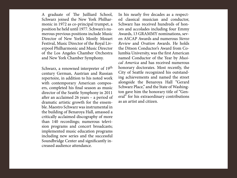A graduate of The Juilliard School, Schwarz joined the New York Philharmonic in 1972 as co-principal trumpet, a position he held until 1977. Schwarz's numerous previous positions include Music Director of New York's Mostly Mozart Festival, Music Director of the Royal Liverpool Philharmonic and Music Director of the Los Angeles Chamber Orchestra and New York Chamber Symphony.

Schwarz, a renowned interpreter of 19<sup>th</sup> century German, Austrian and Russian repertoire, in addition to his noted work with contemporary American composers, completed his final season as music director of the Seattle Symphony in 2011 after an acclaimed 26 years – a period of dramatic artistic growth for the ensemble. Maestro Schwarz was instrumental in the building of Benaroya Hall, amassed a critically acclaimed discography of more than 140 recordings; numerous television programs and concert broadcasts; implemented music education programs including new series and the successful Soundbridge Center and significantly increased audience attendance.

In his nearly five decades as a respected classical musician and conductor, Schwarz has received hundreds of honors and accolades including four Emmy Awards, 13 GRAMMY nominations, seven ASCAP Awards and numerous Stereo Review and Ovation Awards. He holds the Ditson Conductor's Award from Columbia University, was the first American named Conductor of the Year by Musical America and has received numerous honorary doctorates. Most recently, the City of Seattle recognized his outstanding achievements and named the street alongside the Benaroya Hall "Gerard Schwarz Place," and the State of Washington gave him the honorary title of "General" for his extraordinary contributions as an artist and citizen.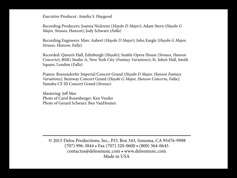Executive Producer: Amelia S. Haygood

Recording Producers: Joanna Nickrenz (Haydn D Major); Adam Stern (Haydn G Major, Strauss, Hanson); Jody Schwarz (Falla)

Recording Engineers: Marc Aubort (Haydn D Major); John Eargle (Haydn G Major, Strauss, Hanson, Falla)

Recorded: Queen's Hall, Edinburgh (Haydn); Seattle Opera House (Strauss, Hanson Concerto); BMG Studio A, New York City (Fantasy Variations); St. John's Hall, Smith Square, London (Falla)

Pianos: Boesendorfer Imperial Concert Grand (Haydn D Major, Hanson Fantasy Variations); Steinway Concert Grand (Haydn G Major, Hanson Concerto, Falla); Yamaha CF III Concert Grand (Strauss)

Mastering: Jeff Mee Photo of Carol Rosenberger: Ken Veeder Photo of Gerard Schwarz: Ben VanHouten

 © 2015 Delos Productions, Inc., P.O. Box 343, Sonoma, CA 95476-9998 (707) 996-3844 • Fax (707) 320-0600 • (800) 364-0645 contactus@delosmusic.com • www.delosmusic.com Made in USA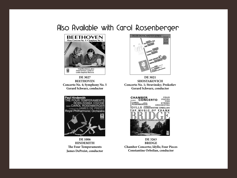### Also Available with Carol Rosenberger



**DE 3027 BEETHOVEN Concerto No. 4; Symphony No. 5 Gerard Schwarz, conductor**



**DE 1006 HINDEMITH The Four Temperaments James DePreist, conductor**



**DE 3021 SHOSTAKOVICH Concerto No. 1; Stravinsky; Prokofiev Gerard Schwarz, conductor**



**DE 3263 BRIDGE Chamber Concerto; Idylls; Four Pieces Constantine Orbelian, conductor**